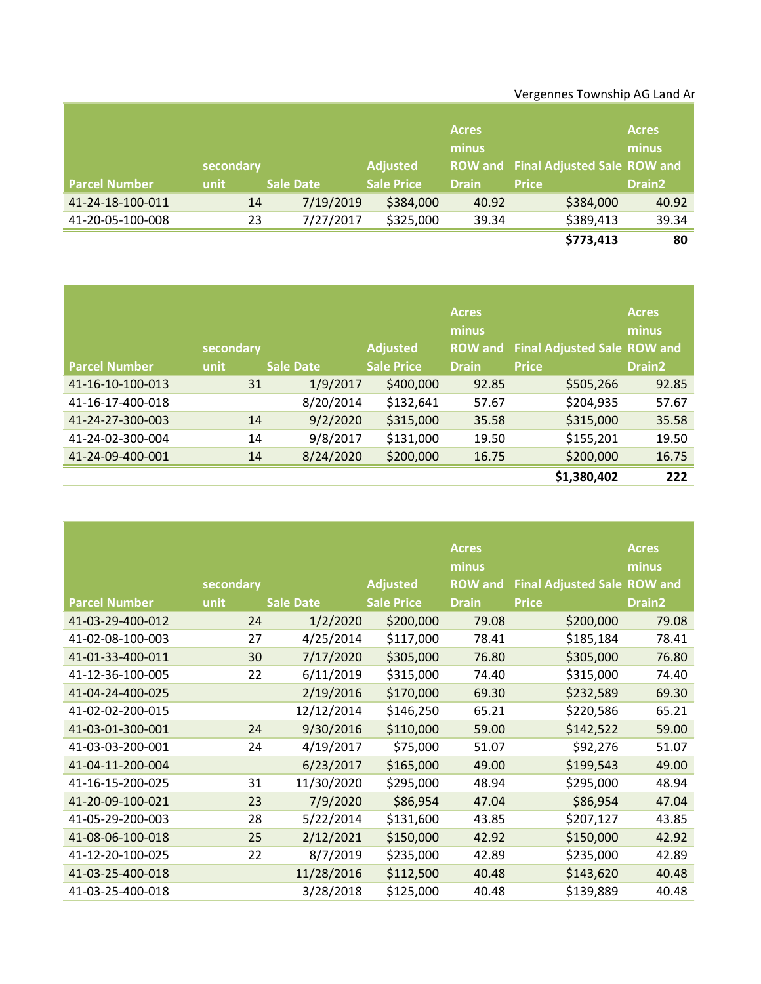## Vergennes Township AG Land Ar

|                      |           |                  |                   | <b>Acres</b><br>minus |                                     | <b>Acres</b><br>minus |
|----------------------|-----------|------------------|-------------------|-----------------------|-------------------------------------|-----------------------|
|                      | secondary |                  | <b>Adjusted</b>   |                       | ROW and Final Adjusted Sale ROW and |                       |
| <b>Parcel Number</b> | unit      | <b>Sale Date</b> | <b>Sale Price</b> | <b>Drain</b>          | <b>Price</b>                        | <b>Drain2</b>         |
| 41-24-18-100-011     | 14        | 7/19/2019        | \$384,000         | 40.92                 | \$384,000                           | 40.92                 |
| 41-20-05-100-008     | 23        | 7/27/2017        | \$325,000         | 39.34                 | \$389,413                           | 39.34                 |
|                      |           |                  |                   |                       | \$773,413                           | 80                    |

|                      | secondary |                  | <b>Adjusted</b>   | <b>Acres</b><br>minus | ROW and Final Adjusted Sale ROW and | <b>Acres</b><br>minus |
|----------------------|-----------|------------------|-------------------|-----------------------|-------------------------------------|-----------------------|
| <b>Parcel Number</b> | unit      | <b>Sale Date</b> | <b>Sale Price</b> | <b>Drain</b>          | <b>Price</b>                        | <b>Drain2</b>         |
| 41-16-10-100-013     | 31        | 1/9/2017         | \$400,000         | 92.85                 | \$505,266                           | 92.85                 |
| 41-16-17-400-018     |           | 8/20/2014        | \$132,641         | 57.67                 | \$204,935                           | 57.67                 |
| 41-24-27-300-003     | 14        | 9/2/2020         | \$315,000         | 35.58                 | \$315,000                           | 35.58                 |
| 41-24-02-300-004     | 14        | 9/8/2017         | \$131,000         | 19.50                 | \$155,201                           | 19.50                 |
| 41-24-09-400-001     | 14        | 8/24/2020        | \$200,000         | 16.75                 | \$200,000                           | 16.75                 |
|                      |           |                  |                   |                       | \$1,380,402                         | 222                   |

|                      |           |                  |                   | <b>Acres</b>   |                                    | <b>Acres</b>       |
|----------------------|-----------|------------------|-------------------|----------------|------------------------------------|--------------------|
|                      |           |                  |                   | minus          |                                    | minus              |
|                      | secondary |                  | <b>Adjusted</b>   | <b>ROW</b> and | <b>Final Adjusted Sale ROW and</b> |                    |
| <b>Parcel Number</b> | unit      | <b>Sale Date</b> | <b>Sale Price</b> | <b>Drain</b>   | <b>Price</b>                       | Drain <sub>2</sub> |
| 41-03-29-400-012     | 24        | 1/2/2020         | \$200,000         | 79.08          | \$200,000                          | 79.08              |
| 41-02-08-100-003     | 27        | 4/25/2014        | \$117,000         | 78.41          | \$185,184                          | 78.41              |
| 41-01-33-400-011     | 30        | 7/17/2020        | \$305,000         | 76.80          | \$305,000                          | 76.80              |
| 41-12-36-100-005     | 22        | 6/11/2019        | \$315,000         | 74.40          | \$315,000                          | 74.40              |
| 41-04-24-400-025     |           | 2/19/2016        | \$170,000         | 69.30          | \$232,589                          | 69.30              |
| 41-02-02-200-015     |           | 12/12/2014       | \$146,250         | 65.21          | \$220,586                          | 65.21              |
| 41-03-01-300-001     | 24        | 9/30/2016        | \$110,000         | 59.00          | \$142,522                          | 59.00              |
| 41-03-03-200-001     | 24        | 4/19/2017        | \$75,000          | 51.07          | \$92,276                           | 51.07              |
| 41-04-11-200-004     |           | 6/23/2017        | \$165,000         | 49.00          | \$199,543                          | 49.00              |
| 41-16-15-200-025     | 31        | 11/30/2020       | \$295,000         | 48.94          | \$295,000                          | 48.94              |
| 41-20-09-100-021     | 23        | 7/9/2020         | \$86,954          | 47.04          | \$86,954                           | 47.04              |
| 41-05-29-200-003     | 28        | 5/22/2014        | \$131,600         | 43.85          | \$207,127                          | 43.85              |
| 41-08-06-100-018     | 25        | 2/12/2021        | \$150,000         | 42.92          | \$150,000                          | 42.92              |
| 41-12-20-100-025     | 22        | 8/7/2019         | \$235,000         | 42.89          | \$235,000                          | 42.89              |
| 41-03-25-400-018     |           | 11/28/2016       | \$112,500         | 40.48          | \$143,620                          | 40.48              |
| 41-03-25-400-018     |           | 3/28/2018        | \$125,000         | 40.48          | \$139,889                          | 40.48              |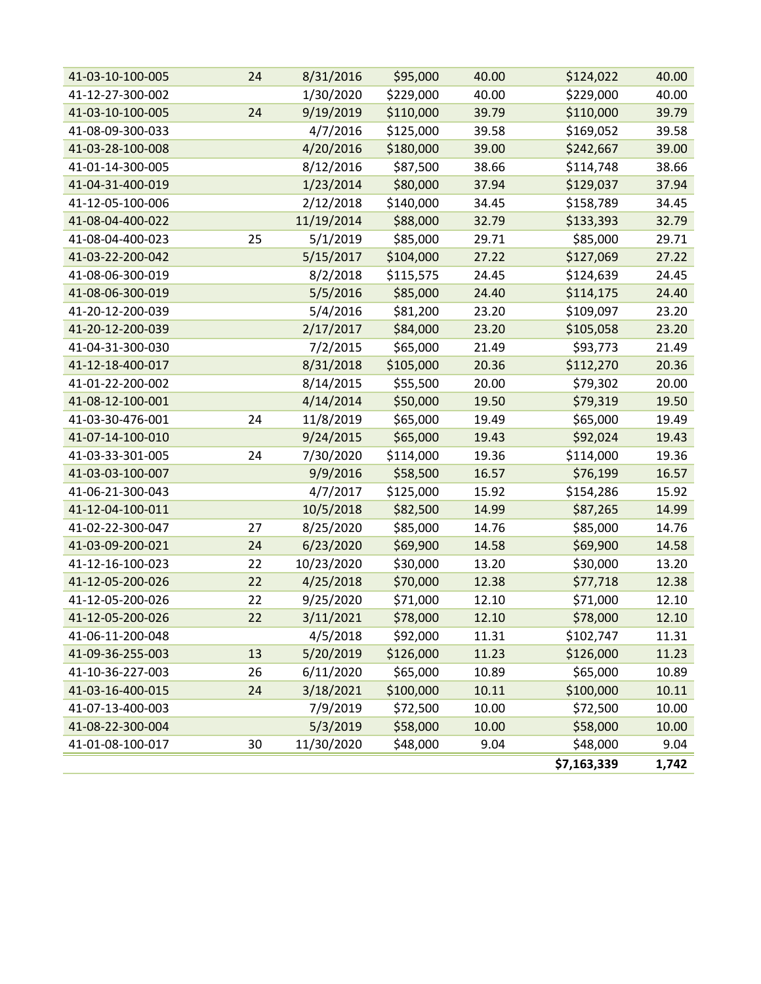| 41-03-10-100-005 | 24 | 8/31/2016  | \$95,000  | 40.00 | \$124,022   | 40.00 |
|------------------|----|------------|-----------|-------|-------------|-------|
|                  |    |            |           |       |             |       |
| 41-12-27-300-002 |    | 1/30/2020  | \$229,000 | 40.00 | \$229,000   | 40.00 |
| 41-03-10-100-005 | 24 | 9/19/2019  | \$110,000 | 39.79 | \$110,000   | 39.79 |
| 41-08-09-300-033 |    | 4/7/2016   | \$125,000 | 39.58 | \$169,052   | 39.58 |
| 41-03-28-100-008 |    | 4/20/2016  | \$180,000 | 39.00 | \$242,667   | 39.00 |
| 41-01-14-300-005 |    | 8/12/2016  | \$87,500  | 38.66 | \$114,748   | 38.66 |
| 41-04-31-400-019 |    | 1/23/2014  | \$80,000  | 37.94 | \$129,037   | 37.94 |
| 41-12-05-100-006 |    | 2/12/2018  | \$140,000 | 34.45 | \$158,789   | 34.45 |
| 41-08-04-400-022 |    | 11/19/2014 | \$88,000  | 32.79 | \$133,393   | 32.79 |
| 41-08-04-400-023 | 25 | 5/1/2019   | \$85,000  | 29.71 | \$85,000    | 29.71 |
| 41-03-22-200-042 |    | 5/15/2017  | \$104,000 | 27.22 | \$127,069   | 27.22 |
| 41-08-06-300-019 |    | 8/2/2018   | \$115,575 | 24.45 | \$124,639   | 24.45 |
| 41-08-06-300-019 |    | 5/5/2016   | \$85,000  | 24.40 | \$114,175   | 24.40 |
| 41-20-12-200-039 |    | 5/4/2016   | \$81,200  | 23.20 | \$109,097   | 23.20 |
| 41-20-12-200-039 |    | 2/17/2017  | \$84,000  | 23.20 | \$105,058   | 23.20 |
| 41-04-31-300-030 |    | 7/2/2015   | \$65,000  | 21.49 | \$93,773    | 21.49 |
| 41-12-18-400-017 |    | 8/31/2018  | \$105,000 | 20.36 | \$112,270   | 20.36 |
| 41-01-22-200-002 |    | 8/14/2015  | \$55,500  | 20.00 | \$79,302    | 20.00 |
| 41-08-12-100-001 |    | 4/14/2014  | \$50,000  | 19.50 | \$79,319    | 19.50 |
| 41-03-30-476-001 | 24 | 11/8/2019  | \$65,000  | 19.49 | \$65,000    | 19.49 |
| 41-07-14-100-010 |    | 9/24/2015  | \$65,000  | 19.43 | \$92,024    | 19.43 |
| 41-03-33-301-005 | 24 | 7/30/2020  | \$114,000 | 19.36 | \$114,000   | 19.36 |
| 41-03-03-100-007 |    | 9/9/2016   | \$58,500  | 16.57 | \$76,199    | 16.57 |
| 41-06-21-300-043 |    | 4/7/2017   | \$125,000 | 15.92 | \$154,286   | 15.92 |
| 41-12-04-100-011 |    | 10/5/2018  | \$82,500  | 14.99 | \$87,265    | 14.99 |
| 41-02-22-300-047 | 27 | 8/25/2020  | \$85,000  | 14.76 | \$85,000    | 14.76 |
| 41-03-09-200-021 | 24 | 6/23/2020  | \$69,900  | 14.58 | \$69,900    | 14.58 |
| 41-12-16-100-023 | 22 | 10/23/2020 | \$30,000  | 13.20 | \$30,000    | 13.20 |
| 41-12-05-200-026 | 22 | 4/25/2018  | \$70,000  | 12.38 | \$77,718    | 12.38 |
| 41-12-05-200-026 | 22 | 9/25/2020  | \$71,000  | 12.10 | \$71,000    | 12.10 |
| 41-12-05-200-026 | 22 | 3/11/2021  | \$78,000  | 12.10 | \$78,000    | 12.10 |
| 41-06-11-200-048 |    | 4/5/2018   | \$92,000  | 11.31 | \$102,747   | 11.31 |
| 41-09-36-255-003 | 13 | 5/20/2019  | \$126,000 | 11.23 | \$126,000   | 11.23 |
| 41-10-36-227-003 | 26 | 6/11/2020  | \$65,000  | 10.89 | \$65,000    | 10.89 |
| 41-03-16-400-015 | 24 | 3/18/2021  | \$100,000 | 10.11 | \$100,000   | 10.11 |
| 41-07-13-400-003 |    | 7/9/2019   | \$72,500  | 10.00 | \$72,500    | 10.00 |
| 41-08-22-300-004 |    | 5/3/2019   | \$58,000  | 10.00 | \$58,000    | 10.00 |
| 41-01-08-100-017 | 30 | 11/30/2020 | \$48,000  | 9.04  | \$48,000    | 9.04  |
|                  |    |            |           |       | \$7,163,339 | 1,742 |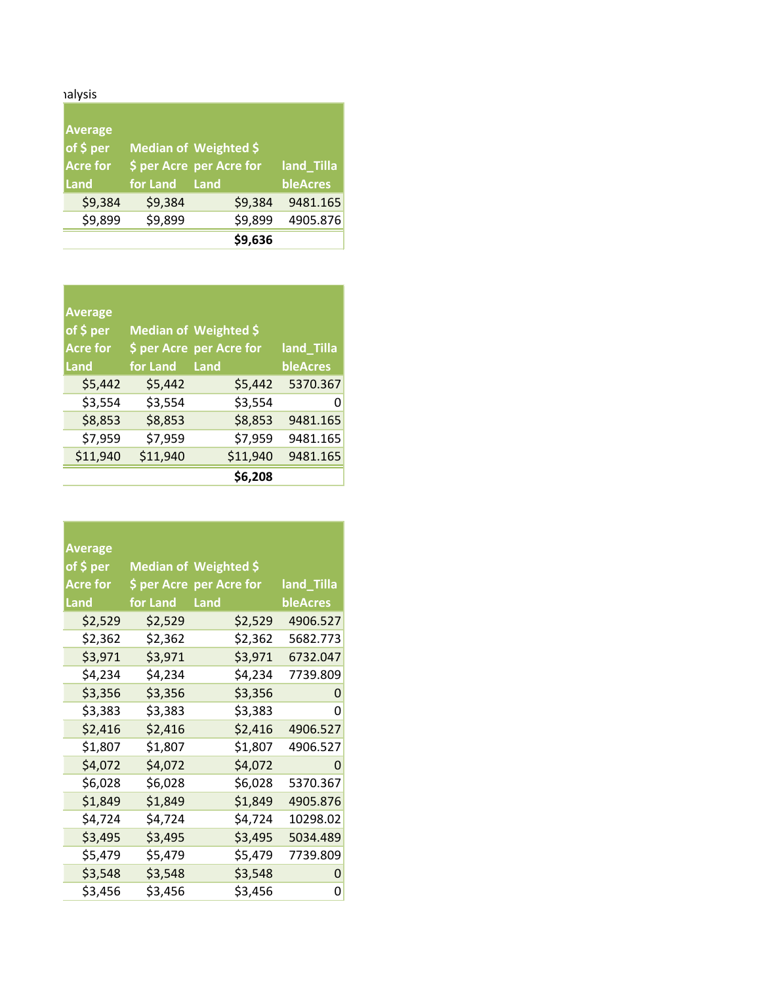## alysis<br>
Township

| <b>Average</b><br>of \$ per |               | Median of Weighted \$    |            |
|-----------------------------|---------------|--------------------------|------------|
| <b>Acre for</b>             |               | \$ per Acre per Acre for | land_Tilla |
| Land                        | for Land Land |                          | bleAcres   |
| \$9,384                     | \$9,384       | \$9,384                  | 9481.165   |
| \$9,899                     | \$9,899       | \$9,899                  | 4905.876   |
|                             |               | \$9,636                  |            |

<u> Tanzania (</u>

| <b>Average</b><br>of $$$ per<br><b>Acre for</b> |          | Median of Weighted \$<br>\$ per Acre per Acre for | land_Tilla |
|-------------------------------------------------|----------|---------------------------------------------------|------------|
| Land                                            | for Land | Land                                              | bleAcres   |
| \$5,442                                         | \$5,442  | \$5,442                                           | 5370.367   |
| \$3,554                                         | \$3,554  | \$3,554                                           | O          |
| \$8,853                                         | \$8,853  | \$8,853                                           | 9481.165   |
| \$7,959                                         | \$7,959  | \$7,959                                           | 9481.165   |
| \$11,940                                        | \$11,940 | \$11,940                                          | 9481.165   |
|                                                 |          | \$6,208                                           |            |

| <b>Average</b>  |          |                              |                 |
|-----------------|----------|------------------------------|-----------------|
| of \$ per       |          | <b>Median of Weighted \$</b> |                 |
| <b>Acre for</b> |          | \$ per Acre per Acre for     | land_Tilla      |
| <b>Land</b>     | for Land | Land                         | <b>bleAcres</b> |
| \$2,529         | \$2,529  | \$2,529                      | 4906.527        |
| \$2,362         | \$2,362  | \$2,362                      | 5682.773        |
| \$3,971         | \$3,971  | \$3,971                      | 6732.047        |
| \$4,234         | \$4,234  | \$4,234                      | 7739.809        |
| \$3,356         | \$3,356  | \$3,356                      | 0               |
| \$3,383         | \$3,383  | \$3,383                      | 0               |
| \$2,416         | \$2,416  | \$2,416                      | 4906.527        |
| \$1,807         | \$1,807  | \$1,807                      | 4906.527        |
| \$4,072         | \$4,072  | \$4,072                      | O               |
| \$6,028         | \$6,028  | \$6,028                      | 5370.367        |
| \$1,849         | \$1,849  | \$1,849                      | 4905.876        |
| \$4,724         | \$4,724  | \$4,724                      | 10298.02        |
| \$3,495         | \$3,495  | \$3,495                      | 5034.489        |
| \$5,479         | \$5,479  | \$5,479                      | 7739.809        |
| \$3,548         | \$3,548  | \$3,548                      | 0               |
| \$3,456         | \$3,456  | \$3,456                      | 0               |